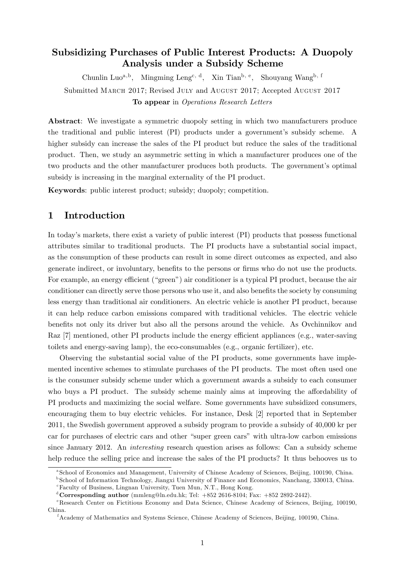## Subsidizing Purchases of Public Interest Products: A Duopoly Analysis under a Subsidy Scheme

Chunlin Luo<sup>a,b</sup>, Mingming Leng<sup>c, d</sup>, Xin Tian<sup>b, e</sup>, Shouyang Wang<sup>b, f</sup> Submitted MARCH 2017; Revised JULY and AUGUST 2017; Accepted AUGUST 2017 To appear in Operations Research Letters

Abstract: We investigate a symmetric duopoly setting in which two manufacturers produce the traditional and public interest (PI) products under a government's subsidy scheme. A higher subsidy can increase the sales of the PI product but reduce the sales of the traditional product. Then, we study an asymmetric setting in which a manufacturer produces one of the two products and the other manufacturer produces both products. The government's optimal subsidy is increasing in the marginal externality of the PI product.

Keywords: public interest product; subsidy; duopoly; competition.

### 1 Introduction

In todayís markets, there exist a variety of public interest (PI) products that possess functional attributes similar to traditional products. The PI products have a substantial social impact, as the consumption of these products can result in some direct outcomes as expected, and also generate indirect, or involuntary, benefits to the persons or firms who do not use the products. For example, an energy efficient ("green") air conditioner is a typical PI product, because the air conditioner can directly serve those persons who use it, and also benefits the society by consuming less energy than traditional air conditioners. An electric vehicle is another PI product, because it can help reduce carbon emissions compared with traditional vehicles. The electric vehicle benefits not only its driver but also all the persons around the vehicle. As Ovchinnikov and Raz  $[7]$  mentioned, other PI products include the energy efficient appliances (e.g., water-saving toilets and energy-saving lamp), the eco-consumables (e.g., organic fertilizer), etc.

Observing the substantial social value of the PI products, some governments have implemented incentive schemes to stimulate purchases of the PI products. The most often used one is the consumer subsidy scheme under which a government awards a subsidy to each consumer who buys a PI product. The subsidy scheme mainly aims at improving the affordability of PI products and maximizing the social welfare. Some governments have subsidized consumers, encouraging them to buy electric vehicles. For instance, Desk [2] reported that in September 2011, the Swedish government approved a subsidy program to provide a subsidy of 40,000 kr per car for purchases of electric cars and other "super green cars" with ultra-low carbon emissions since January 2012. An interesting research question arises as follows: Can a subsidy scheme help reduce the selling price and increase the sales of the PI products? It thus behooves us to

a School of Economics and Management, University of Chinese Academy of Sciences, Beijing, 100190, China.

<sup>&</sup>lt;sup>b</sup> School of Information Technology, Jiangxi University of Finance and Economics, Nanchang, 330013, China.

 $c$ Faculty of Business, Lingnan University, Tuen Mun, N.T., Hong Kong.

<sup>&</sup>lt;sup>d</sup> Corresponding author (mmleng@ln.edu.hk; Tel:  $+852 2616-8104$ ; Fax:  $+852 2892-2442$ ).

<sup>&</sup>lt;sup>e</sup>Research Center on Fictitious Economy and Data Science, Chinese Academy of Sciences, Beijing, 100190, China.

<sup>f</sup>Academy of Mathematics and Systems Science, Chinese Academy of Sciences, Beijing, 100190, China.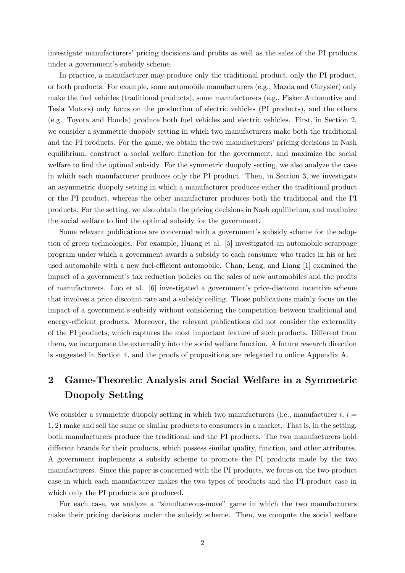investigate manufacturers' pricing decisions and profits as well as the sales of the PI products under a government's subsidy scheme.

In practice, a manufacturer may produce only the traditional product, only the PI product, or both products. For example, some automobile manufacturers (e.g., Mazda and Chrysler) only make the fuel vehicles (traditional products), some manufacturers (e.g., Fisker Automotive and Tesla Motors) only focus on the production of electric vehicles (PI products), and the others (e.g., Toyota and Honda) produce both fuel vehicles and electric vehicles. First, in Section 2, we consider a symmetric duopoly setting in which two manufacturers make both the traditional and the PI products. For the game, we obtain the two manufacturers' pricing decisions in Nash equilibrium, construct a social welfare function for the government, and maximize the social welfare to find the optimal subsidy. For the symmetric duopoly setting, we also analyze the case in which each manufacturer produces only the PI product. Then, in Section 3, we investigate an asymmetric duopoly setting in which a manufacturer produces either the traditional product or the PI product, whereas the other manufacturer produces both the traditional and the PI products. For the setting, we also obtain the pricing decisions in Nash equilibrium, and maximize the social welfare to find the optimal subsidy for the government.

Some relevant publications are concerned with a government's subsidy scheme for the adoption of green technologies. For example, Huang et al. [5] investigated an automobile scrappage program under which a government awards a subsidy to each consumer who trades in his or her used automobile with a new fuel-efficient automobile. Chan, Leng, and Liang  $[1]$  examined the impact of a government's tax reduction policies on the sales of new automobiles and the profits of manufacturers. Luo et al. [6] investigated a governmentís price-discount incentive scheme that involves a price discount rate and a subsidy ceiling. Those publications mainly focus on the impact of a government's subsidy without considering the competition between traditional and energy-efficient products. Moreover, the relevant publications did not consider the externality of the PI products, which captures the most important feature of such products. Different from them, we incorporate the externality into the social welfare function. A future research direction is suggested in Section 4, and the proofs of propositions are relegated to online Appendix A.

## 2 Game-Theoretic Analysis and Social Welfare in a Symmetric Duopoly Setting

We consider a symmetric duopoly setting in which two manufacturers (i.e., manufacturer  $i, i =$ 1; 2) make and sell the same or similar products to consumers in a market. That is, in the setting, both manufacturers produce the traditional and the PI products. The two manufacturers hold different brands for their products, which possess similar quality, function, and other attributes. A government implements a subsidy scheme to promote the PI products made by the two manufacturers. Since this paper is concerned with the PI products, we focus on the two-product case in which each manufacturer makes the two types of products and the PI-product case in which only the PI products are produced.

For each case, we analyze a "simultaneous-move" game in which the two manufacturers make their pricing decisions under the subsidy scheme. Then, we compute the social welfare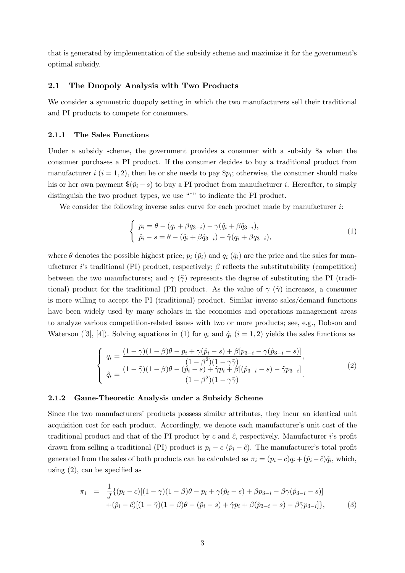that is generated by implementation of the subsidy scheme and maximize it for the governmentís optimal subsidy.

### 2.1 The Duopoly Analysis with Two Products

We consider a symmetric duopoly setting in which the two manufacturers sell their traditional and PI products to compete for consumers.

#### 2.1.1 The Sales Functions

Under a subsidy scheme, the government provides a consumer with a subsidy \$s when the consumer purchases a PI product. If the consumer decides to buy a traditional product from manufacturer  $i$   $(i = 1, 2)$ , then he or she needs to pay  $\hat{P}_i$ ; otherwise, the consumer should make his or her own payment  $\Re(\hat{p}_i - s)$  to buy a PI product from manufacturer i. Hereafter, to simply distinguish the two product types, we use  $\omega$ <sup>n</sup> to indicate the PI product.

We consider the following inverse sales curve for each product made by manufacturer  $i$ :

$$
\begin{cases}\n p_i = \theta - (q_i + \beta q_{3-i}) - \gamma (\hat{q}_i + \beta \hat{q}_{3-i}), \\
 \hat{p}_i - s = \theta - (\hat{q}_i + \beta \hat{q}_{3-i}) - \tilde{\gamma} (q_i + \beta q_{3-i}),\n\end{cases}
$$
\n(1)

where  $\theta$  denotes the possible highest price;  $p_i$  ( $\hat{p}_i$ ) and  $q_i$  ( $\hat{q}_i$ ) are the price and the sales for manufacturer *i*'s traditional (PI) product, respectively;  $\beta$  reflects the substitutability (competition) between the two manufacturers; and  $\gamma$  ( $\tilde{\gamma}$ ) represents the degree of substituting the PI (traditional) product for the traditional (PI) product. As the value of  $\gamma$  ( $\tilde{\gamma}$ ) increases, a consumer is more willing to accept the PI (traditional) product. Similar inverse sales/demand functions have been widely used by many scholars in the economics and operations management areas to analyze various competition-related issues with two or more products; see, e.g., Dobson and Waterson ([3], [4]). Solving equations in (1) for  $q_i$  and  $\hat{q}_i$  (i = 1, 2) yields the sales functions as

$$
\begin{cases}\n q_i = \frac{(1 - \gamma)(1 - \beta)\theta - p_i + \gamma(\hat{p}_i - s) + \beta[p_{3-i} - \gamma(\hat{p}_{3-i} - s)]}{(1 - \beta^2)(1 - \gamma\tilde{\gamma})}, \\
 \hat{q}_i = \frac{(1 - \tilde{\gamma})(1 - \beta)\theta - (\hat{p}_i - s) + \tilde{\gamma}p_i + \beta[(\hat{p}_{3-i} - s) - \tilde{\gamma}p_{3-i}]}{(1 - \beta^2)(1 - \gamma\tilde{\gamma})}.\n\end{cases}
$$
\n(2)

#### 2.1.2 Game-Theoretic Analysis under a Subsidy Scheme

Since the two manufacturers' products possess similar attributes, they incur an identical unit acquisition cost for each product. Accordingly, we denote each manufacturer's unit cost of the traditional product and that of the PI product by c and  $\hat{c}$ , respectively. Manufacturer i's profit drawn from selling a traditional (PI) product is  $p_i - c$  ( $\hat{p}_i - \hat{c}$ ). The manufacturer's total profit generated from the sales of both products can be calculated as  $\pi_i = (p_i - c)q_i + (\hat{p}_i - \hat{c})\hat{q}_i$ , which, using  $(2)$ , can be specified as

$$
\pi_i = \frac{1}{J} \{ (p_i - c) [(1 - \gamma)(1 - \beta)\theta - p_i + \gamma(\hat{p}_i - s) + \beta p_{3-i} - \beta \gamma(\hat{p}_{3-i} - s)] + (\hat{p}_i - \hat{c}) [(1 - \tilde{\gamma})(1 - \beta)\theta - (\hat{p}_i - s) + \tilde{\gamma} p_i + \beta(\hat{p}_{3-i} - s) - \beta \tilde{\gamma} p_{3-i}] \},
$$
(3)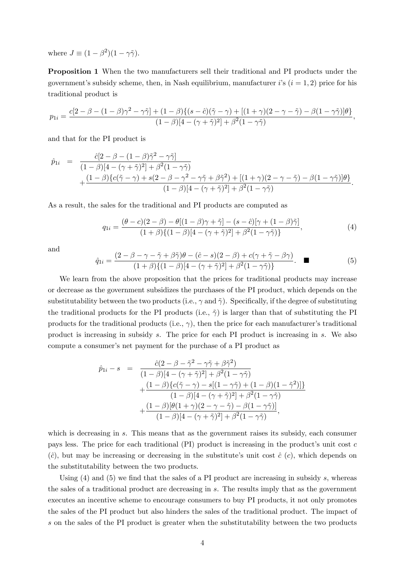where  $J \equiv (1 - \beta^2)(1 - \gamma \tilde{\gamma}).$ 

Proposition 1 When the two manufacturers sell their traditional and PI products under the government's subsidy scheme, then, in Nash equilibrium, manufacturer is  $(i = 1, 2)$  price for his traditional product is

$$
p_{1i} = \frac{c[2-\beta-(1-\beta)\gamma^2-\gamma\tilde{\gamma}] + (1-\beta)\{(s-\hat{c})(\tilde{\gamma}-\gamma) + [(1+\gamma)(2-\gamma-\tilde{\gamma})-\beta(1-\gamma\tilde{\gamma})]\theta\}}{(1-\beta)[4-(\gamma+\tilde{\gamma})^2] + \beta^2(1-\gamma\tilde{\gamma})},
$$

and that for the PI product is

$$
\hat{p}_{1i} = \frac{\hat{c}[2-\beta-(1-\beta)\tilde{\gamma}^2-\gamma\tilde{\gamma}]}{(1-\beta)[4-(\gamma+\tilde{\gamma})^2]+\beta^2(1-\gamma\tilde{\gamma})} + \frac{(1-\beta)\{c(\tilde{\gamma}-\gamma)+s(2-\beta-\gamma^2-\gamma\tilde{\gamma}+\beta\tilde{\gamma}^2)+[(1+\gamma)(2-\gamma-\tilde{\gamma})-\beta(1-\gamma\tilde{\gamma})]\theta\}}{(1-\beta)[4-(\gamma+\tilde{\gamma})^2]+\beta^2(1-\gamma\tilde{\gamma})}.
$$

As a result, the sales for the traditional and PI products are computed as

$$
q_{1i} = \frac{(\theta - c)(2 - \beta) - \theta[(1 - \beta)\gamma + \tilde{\gamma}] - (s - \hat{c})[\gamma + (1 - \beta)\tilde{\gamma}]}{(1 + \beta)\{(1 - \beta)[4 - (\gamma + \tilde{\gamma})^2] + \beta^2(1 - \gamma\tilde{\gamma})\}},
$$
(4)

and

$$
\hat{q}_{1i} = \frac{(2 - \beta - \gamma - \tilde{\gamma} + \beta \tilde{\gamma})\theta - (\hat{c} - s)(2 - \beta) + c(\gamma + \tilde{\gamma} - \beta \gamma)}{(1 + \beta)\{(1 - \beta)[4 - (\gamma + \tilde{\gamma})^2] + \beta^2(1 - \gamma \tilde{\gamma})\}}.
$$
 (5)

We learn from the above proposition that the prices for traditional products may increase or decrease as the government subsidizes the purchases of the PI product, which depends on the substitutability between the two products (i.e.,  $\gamma$  and  $\tilde{\gamma}$ ). Specifically, if the degree of substituting the traditional products for the PI products (i.e.,  $\tilde{\gamma}$ ) is larger than that of substituting the PI products for the traditional products (i.e.,  $\gamma$ ), then the price for each manufacturer's traditional product is increasing in subsidy s. The price for each PI product is increasing in s. We also compute a consumer's net payment for the purchase of a PI product as

$$
\hat{p}_{1i} - s = \frac{\hat{c}(2 - \beta - \tilde{\gamma}^2 - \gamma \tilde{\gamma} + \beta \tilde{\gamma}^2)}{(1 - \beta)[4 - (\gamma + \tilde{\gamma})^2] + \beta^2 (1 - \gamma \tilde{\gamma})} \n+ \frac{(1 - \beta)\{c(\tilde{\gamma} - \gamma) - s[(1 - \gamma \tilde{\gamma}) + (1 - \beta)(1 - \tilde{\gamma}^2)]\}}{(1 - \beta)[4 - (\gamma + \tilde{\gamma})^2] + \beta^2 (1 - \gamma \tilde{\gamma})} \n+ \frac{(1 - \beta)[\theta(1 + \gamma)(2 - \gamma - \tilde{\gamma}) - \beta(1 - \gamma \tilde{\gamma})]}{(1 - \beta)[4 - (\gamma + \tilde{\gamma})^2] + \beta^2 (1 - \gamma \tilde{\gamma})},
$$

which is decreasing in s. This means that as the government raises its subsidy, each consumer pays less. The price for each traditional  $(PI)$  product is increasing in the product's unit cost c  $(\hat{c})$ , but may be increasing or decreasing in the substitute's unit cost  $\hat{c}$  (c), which depends on the substitutability between the two products.

Using  $(4)$  and  $(5)$  we find that the sales of a PI product are increasing in subsidy s, whereas the sales of a traditional product are decreasing in s. The results imply that as the government executes an incentive scheme to encourage consumers to buy PI products, it not only promotes the sales of the PI product but also hinders the sales of the traditional product. The impact of s on the sales of the PI product is greater when the substitutability between the two products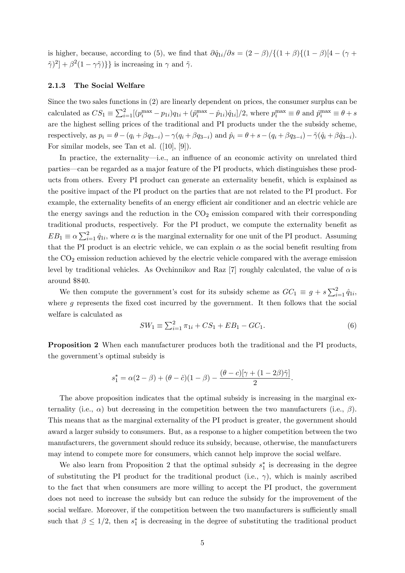is higher, because, according to (5), we find that  $\partial \hat{q}_{1i}/\partial s = (2 - \beta)/\{(1 + \beta)\{(1 - \beta)\}4 - (\gamma + \beta)\}$  $[\tilde{\gamma}]^2$  +  $\beta^2(1-\gamma\tilde{\gamma})$ } is increasing in  $\gamma$  and  $\tilde{\gamma}$ .

### 2.1.3 The Social Welfare

Since the two sales functions in (2) are linearly dependent on prices, the consumer surplus can be calculated as  $CS_1 \equiv \sum_{i=1}^2 [(p_i^{\max} - p_{1i})q_{1i} + (p_i^{\max} - \hat{p}_{1i})\hat{q}_{1i}]/2$ , where  $p_i^{\max} \equiv \theta$  and  $\hat{p}_i^{\max} \equiv \theta + s$ are the highest selling prices of the traditional and PI products under the the subsidy scheme, respectively, as  $p_i = \theta - (q_i + \beta q_{3-i}) - \gamma (q_i + \beta q_{3-i})$  and  $\hat{p}_i = \theta + s - (q_i + \beta q_{3-i}) - \tilde{\gamma}(\hat{q}_i + \beta \hat{q}_{3-i}).$ For similar models, see Tan et al. ([10], [9]).

In practice, the externality—i.e., an influence of an economic activity on unrelated third parties—can be regarded as a major feature of the PI products, which distinguishes these products from others. Every PI product can generate an externality benefit, which is explained as the positive impact of the PI product on the parties that are not related to the PI product. For example, the externality benefits of an energy efficient air conditioner and an electric vehicle are the energy savings and the reduction in the  $CO<sub>2</sub>$  emission compared with their corresponding traditional products, respectively. For the PI product, we compute the externality benefit as  $EB_1 \equiv \alpha \sum_{i=1}^2 \hat{q}_{1i}$ , where  $\alpha$  is the marginal externality for one unit of the PI product. Assuming that the PI product is an electric vehicle, we can explain  $\alpha$  as the social benefit resulting from the  $CO<sub>2</sub>$  emission reduction achieved by the electric vehicle compared with the average emission level by traditional vehicles. As Ovchinnikov and Raz [7] roughly calculated, the value of  $\alpha$  is around \$840.

We then compute the government's cost for its subsidy scheme as  $GC_1 \equiv g + s \sum_{i=1}^2 \hat{q}_{1i}$ , where  $q$  represents the fixed cost incurred by the government. It then follows that the social welfare is calculated as

$$
SW_1 \equiv \sum_{i=1}^{2} \pi_{1i} + CS_1 + EB_1 - GC_1.
$$
 (6)

**Proposition 2** When each manufacturer produces both the traditional and the PI products, the government's optimal subsidy is

$$
s_1^* = \alpha(2-\beta) + (\theta - \hat{c})(1-\beta) - \frac{(\theta - c)[\gamma + (1 - 2\beta)\tilde{\gamma}]}{2}.
$$

The above proposition indicates that the optimal subsidy is increasing in the marginal externality (i.e.,  $\alpha$ ) but decreasing in the competition between the two manufacturers (i.e.,  $\beta$ ). This means that as the marginal externality of the PI product is greater, the government should award a larger subsidy to consumers. But, as a response to a higher competition between the two manufacturers, the government should reduce its subsidy, because, otherwise, the manufacturers may intend to compete more for consumers, which cannot help improve the social welfare.

We also learn from Proposition 2 that the optimal subsidy  $s_1^*$  is decreasing in the degree of substituting the PI product for the traditional product (i.e.,  $\gamma$ ), which is mainly ascribed to the fact that when consumers are more willing to accept the PI product, the government does not need to increase the subsidy but can reduce the subsidy for the improvement of the social welfare. Moreover, if the competition between the two manufacturers is sufficiently small such that  $\beta \leq 1/2$ , then  $s_1^*$  is decreasing in the degree of substituting the traditional product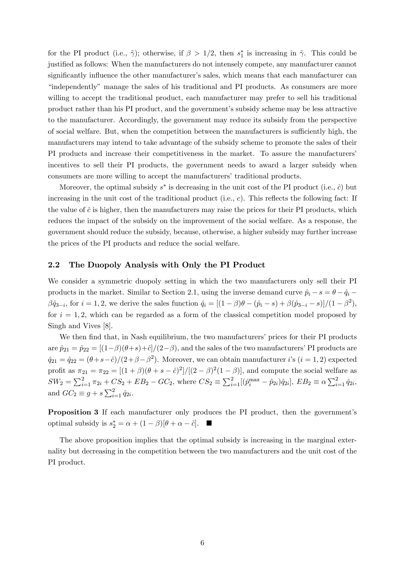for the PI product (i.e.,  $\tilde{\gamma}$ ); otherwise, if  $\beta > 1/2$ , then  $s_1^*$  is increasing in  $\tilde{\gamma}$ . This could be justified as follows: When the manufacturers do not intensely compete, any manufacturer cannot significantly influence the other manufacturer's sales, which means that each manufacturer can "independently" manage the sales of his traditional and PI products. As consumers are more willing to accept the traditional product, each manufacturer may prefer to sell his traditional product rather than his PI product, and the governmentís subsidy scheme may be less attractive to the manufacturer. Accordingly, the government may reduce its subsidy from the perspective of social welfare. But, when the competition between the manufacturers is sufficiently high, the manufacturers may intend to take advantage of the subsidy scheme to promote the sales of their PI products and increase their competitiveness in the market. To assure the manufacturers' incentives to sell their PI products, the government needs to award a larger subsidy when consumers are more willing to accept the manufacturers' traditional products.

Moreover, the optimal subsidy  $s^*$  is decreasing in the unit cost of the PI product (i.e.,  $\hat{c}$ ) but increasing in the unit cost of the traditional product (i.e.,  $c$ ). This reflects the following fact: If the value of  $\hat{c}$  is higher, then the manufacturers may raise the prices for their PI products, which reduces the impact of the subsidy on the improvement of the social welfare. As a response, the government should reduce the subsidy, because, otherwise, a higher subsidy may further increase the prices of the PI products and reduce the social welfare.

### 2.2 The Duopoly Analysis with Only the PI Product

We consider a symmetric duopoly setting in which the two manufacturers only sell their PI products in the market. Similar to Section 2.1, using the inverse demand curve  $\hat{p}_i - s = \theta - \hat{q}_i$  $\beta \hat{q}_{3-i}$ , for  $i = 1, 2$ , we derive the sales function  $\hat{q}_i = [(1 - \beta)\theta - (\hat{p}_i - s) + \beta(\hat{p}_{3-i} - s)]/(1 - \beta^2)$ , for  $i = 1, 2$ , which can be regarded as a form of the classical competition model proposed by Singh and Vives [8].

We then find that, in Nash equilibrium, the two manufacturers' prices for their PI products are  $\hat{p}_{21} = \hat{p}_{22} = [(1-\beta)(\theta+s)+\hat{c}]/(2-\beta)$ , and the sales of the two manufacturers' PI products are  $\hat{q}_{21} = \hat{q}_{22} = (\theta + s - \hat{c})/(2 + \beta - \beta^2)$ . Moreover, we can obtain manufacturer *i*'s  $(i = 1, 2)$  expected profit as  $\pi_{21} = \pi_{22} = [(1+\beta)(\theta+s-\hat{c})^2]/[(2-\beta)^2(1-\beta)]$ , and compute the social welfare as  $SW_2 = \sum_{i=1}^2 \pi_{2i} + CS_2 + EB_2 - GC_2$ , where  $CS_2 \equiv \sum_{i=1}^2 [(\hat{p}_i^{\max} - \hat{p}_{2i})\hat{q}_{2i}], EB_2 \equiv \alpha \sum_{i=1}^2 \hat{q}_{2i},$ and  $GC_2 \equiv g + s \sum_{i=1}^2 \hat{q}_{2i}$ .

**Proposition 3** If each manufacturer only produces the PI product, then the government's optimal subsidy is  $s_2^* = \alpha + (1 - \beta)[\theta + \alpha - \hat{c}]$ .

The above proposition implies that the optimal subsidy is increasing in the marginal externality but decreasing in the competition between the two manufacturers and the unit cost of the PI product.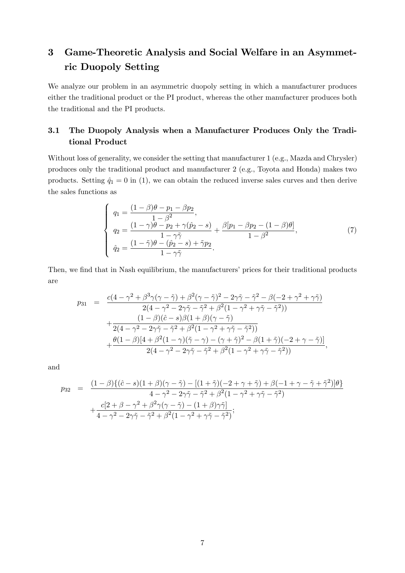# 3 Game-Theoretic Analysis and Social Welfare in an Asymmetric Duopoly Setting

We analyze our problem in an asymmetric duopoly setting in which a manufacturer produces either the traditional product or the PI product, whereas the other manufacturer produces both the traditional and the PI products.

## 3.1 The Duopoly Analysis when a Manufacturer Produces Only the Traditional Product

Without loss of generality, we consider the setting that manufacturer 1 (e.g., Mazda and Chrysler) produces only the traditional product and manufacturer 2 (e.g., Toyota and Honda) makes two products. Setting  $\hat{q}_1 = 0$  in (1), we can obtain the reduced inverse sales curves and then derive the sales functions as

$$
\begin{cases}\n q_1 = \frac{(1 - \beta)\theta - p_1 - \beta p_2}{1 - \beta^2}, \\
 q_2 = \frac{(1 - \gamma)\theta - p_2 + \gamma(\hat{p}_2 - s)}{1 - \gamma\tilde{\gamma}} + \frac{\beta[p_1 - \beta p_2 - (1 - \beta)\theta]}{1 - \beta^2}, \\
 \hat{q}_2 = \frac{(1 - \tilde{\gamma})\theta - (\hat{p}_2 - s) + \tilde{\gamma}p_2}{1 - \gamma\tilde{\gamma}}.\n\end{cases} (7)
$$

Then, we find that in Nash equilibrium, the manufacturers' prices for their traditional products are

$$
p_{31} = \frac{c(4-\gamma^2+\beta^3\gamma(\gamma-\tilde{\gamma})+\beta^2(\gamma-\tilde{\gamma})^2-2\gamma\tilde{\gamma}-\tilde{\gamma}^2-\beta(-2+\gamma^2+\gamma\tilde{\gamma})}{2(4-\gamma^2-2\gamma\tilde{\gamma}-\tilde{\gamma}^2+\beta^2(1-\gamma^2+\gamma\tilde{\gamma}-\tilde{\gamma}^2))} +\frac{(1-\beta)(\hat{c}-s)\beta(1+\beta)(\gamma-\tilde{\gamma})}{2(4-\gamma^2-2\gamma\tilde{\gamma}-\tilde{\gamma}^2+\beta^2(1-\gamma^2+\gamma\tilde{\gamma}-\tilde{\gamma}^2))} +\frac{\theta(1-\beta)[4+\beta^2(1-\gamma)(\tilde{\gamma}-\gamma)-(\gamma+\tilde{\gamma})^2-\beta(1+\tilde{\gamma})(-2+\gamma-\tilde{\gamma})]}{2(4-\gamma^2-2\gamma\tilde{\gamma}-\tilde{\gamma}^2+\beta^2(1-\gamma^2+\gamma\tilde{\gamma}-\tilde{\gamma}^2))},
$$

and

$$
p_{32} = \frac{(1-\beta)\{(\hat{c}-s)(1+\beta)(\gamma-\tilde{\gamma}) - [(1+\tilde{\gamma})(-2+\gamma+\tilde{\gamma})+\beta(-1+\gamma-\tilde{\gamma}+\tilde{\gamma}^2)]\theta\}}{4-\gamma^2-2\gamma\tilde{\gamma}-\tilde{\gamma}^2+\beta^2(1-\gamma^2+\gamma\tilde{\gamma}-\tilde{\gamma}^2)} + \frac{c[2+\beta-\gamma^2+\beta^2\gamma(\gamma-\tilde{\gamma}) - (1+\beta)\gamma\tilde{\gamma}]}{4-\gamma^2-2\gamma\tilde{\gamma}-\tilde{\gamma}^2+\beta^2(1-\gamma^2+\gamma\tilde{\gamma}-\tilde{\gamma}^2)};
$$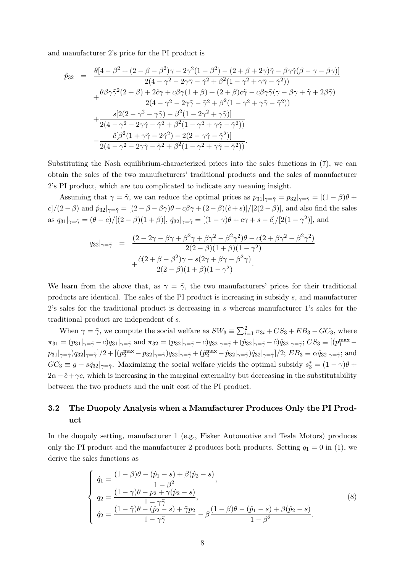and manufacturer 2's price for the PI product is

$$
\hat{p}_{32} = \frac{\theta[4-\beta^2 + (2-\beta-\beta^2)\gamma - 2\gamma^2(1-\beta^2) - (2+\beta+2\gamma)\tilde{\gamma} - \beta\gamma\tilde{\gamma}(\beta-\gamma-\beta\gamma)]}{2(4-\gamma^2 - 2\gamma\tilde{\gamma} - \tilde{\gamma}^2 + \beta^2(1-\gamma^2+\gamma\tilde{\gamma} - \tilde{\gamma}^2))} \n+ \frac{\theta\beta\gamma\tilde{\gamma}^2(2+\beta) + 2\hat{c}\gamma + c\beta\gamma(1+\beta) + (2+\beta)c\tilde{\gamma} - c\beta\gamma\tilde{\gamma}(\gamma-\beta\gamma+\tilde{\gamma} + 2\beta\tilde{\gamma})}{2(4-\gamma^2 - 2\gamma\tilde{\gamma} - \tilde{\gamma}^2 + \beta^2(1-\gamma^2+\gamma\tilde{\gamma} - \tilde{\gamma}^2))} \n+ \frac{s[2(2-\gamma^2 - \gamma\tilde{\gamma}) - \beta^2(1-2\gamma^2+\gamma\tilde{\gamma})]}{2(4-\gamma^2 - 2\gamma\tilde{\gamma} - \tilde{\gamma}^2 + \beta^2(1-\gamma^2+\gamma\tilde{\gamma} - \tilde{\gamma}^2))} \n- \frac{\hat{c}[\beta^2(1+\gamma\tilde{\gamma} - 2\tilde{\gamma}^2) - 2(2-\gamma\tilde{\gamma} - \tilde{\gamma}^2)]}{2(4-\gamma^2 - 2\gamma\tilde{\gamma} - \tilde{\gamma}^2 + \beta^2(1-\gamma^2+\gamma\tilde{\gamma} - \tilde{\gamma}^2))}.
$$

Substituting the Nash equilibrium-characterized prices into the sales functions in (7), we can obtain the sales of the two manufacturers' traditional products and the sales of manufacturer 2ís PI product, which are too complicated to indicate any meaning insight.

Assuming that  $\gamma = \tilde{\gamma}$ , we can reduce the optimal prices as  $p_{31}|_{\gamma=\tilde{\gamma}} = p_{32}|_{\gamma=\tilde{\gamma}} = [(1-\beta)\theta +$  $c\left[\frac{1}{(2-\beta)}\right]$  and  $\hat{p}_{32}|_{\gamma=\tilde{\gamma}}=[(2-\beta-\beta\gamma)\theta+c\beta\gamma+(2-\beta)(\hat{c}+s)]/[2(2-\beta)]$ , and also find the sales as  $q_{31}|_{\gamma=\tilde{\gamma}} = (\theta - c)/[(2 - \beta)(1 + \beta)], \ \hat{q}_{32}|_{\gamma=\tilde{\gamma}} = [(1 - \gamma)\theta + c\gamma + s - \hat{c}]/[2(1 - \gamma^2)],$  and

$$
q_{32}|_{\gamma=\tilde{\gamma}} = \frac{(2 - 2\gamma - \beta\gamma + \beta^2\gamma + \beta\gamma^2 - \beta^2\gamma^2)\theta - c(2 + \beta\gamma^2 - \beta^2\gamma^2)}{2(2 - \beta)(1 + \beta)(1 - \gamma^2)} + \frac{\hat{c}(2 + \beta - \beta^2)\gamma - s(2\gamma + \beta\gamma - \beta^2\gamma)}{2(2 - \beta)(1 + \beta)(1 - \gamma^2)}.
$$

We learn from the above that, as  $\gamma = \tilde{\gamma}$ , the two manufacturers' prices for their traditional products are identical. The sales of the PI product is increasing in subsidy s, and manufacturer  $2$ 's sales for the traditional product is decreasing in s whereas manufacturer 1's sales for the traditional product are independent of s.

When  $\gamma = \tilde{\gamma}$ , we compute the social welfare as  $SW_3 \equiv \sum_{i=1}^{2} \pi_{3i} + CS_3 + EB_3 - GC_3$ , where  $\pi_{31} = (p_{31}|_{\gamma=\tilde{\gamma}} - c)q_{31}|_{\gamma=\tilde{\gamma}} \text{ and } \pi_{32} = (p_{32}|_{\gamma=\tilde{\gamma}} - c)q_{32}|_{\gamma=\tilde{\gamma}} + (\hat{p}_{32}|_{\gamma=\tilde{\gamma}} - \hat{c})\hat{q}_{32}|_{\gamma=\tilde{\gamma}}; CS_3 \equiv [(\hat{p}_1^{\max} - \hat{c})]$  $p_{31}|\gamma=\tilde{\gamma}}|q_{32}|\gamma=\tilde{\gamma}|/2+[(p_2^{\max}-p_{32}|\gamma=\tilde{\gamma})q_{32}|\gamma=\tilde{\gamma}+(p_2^{\max}-\hat{p}_{32}|\gamma=\tilde{\gamma})\hat{q}_{32}|\gamma=\tilde{\gamma}]/2; \ EB_3\equiv \alpha \hat{q}_{32}|\gamma=\tilde{\gamma};$  and  $GC_3 \equiv g + s\hat{q}_{32} |_{\gamma=\tilde{\gamma}}$ . Maximizing the social welfare yields the optimal subsidy  $s_3^* = (1 - \gamma)\theta +$  $2\alpha - \hat{c} + \gamma c$ , which is increasing in the marginal externality but decreasing in the substitutability between the two products and the unit cost of the PI product.

### 3.2 The Duopoly Analysis when a Manufacturer Produces Only the PI Product

In the duopoly setting, manufacturer 1 (e.g., Fisker Automotive and Tesla Motors) produces only the PI product and the manufacturer 2 produces both products. Setting  $q_1 = 0$  in (1), we derive the sales functions as

$$
\begin{cases}\n\hat{q}_1 = \frac{(1-\beta)\theta - (\hat{p}_1 - s) + \beta(\hat{p}_2 - s)}{1 - \beta^2}, \\
q_2 = \frac{(1-\gamma)\theta - p_2 + \gamma(\hat{p}_2 - s)}{1 - \gamma\tilde{\gamma}}, \\
\hat{q}_2 = \frac{(1-\tilde{\gamma})\theta - (\hat{p}_2 - s) + \tilde{\gamma}p_2}{1 - \gamma\tilde{\gamma}} - \beta\frac{(1-\beta)\theta - (\hat{p}_1 - s) + \beta(\hat{p}_2 - s)}{1 - \beta^2}.\n\end{cases} (8)
$$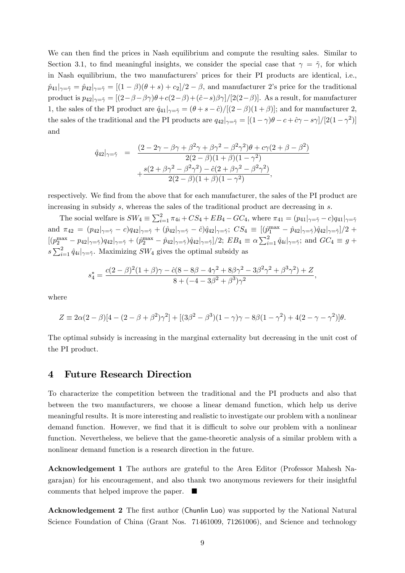We can then find the prices in Nash equilibrium and compute the resulting sales. Similar to Section 3.1, to find meaningful insights, we consider the special case that  $\gamma = \tilde{\gamma}$ , for which in Nash equilibrium, the two manufacturers' prices for their PI products are identical, i.e.,  $\hat{p}_{41}|_{\gamma=\tilde{\gamma}} = \hat{p}_{42}|_{\gamma=\tilde{\gamma}} = [(1-\beta)(\theta+s)+c_2]/2-\beta$ , and manufacturer 2's price for the traditional product is  $p_{42}|_{\gamma=\tilde{\gamma}}=[(2-\beta-\beta\gamma)\theta+c(2-\beta)+(\hat{c}-s)\beta\gamma]/[2(2-\beta)]$ . As a result, for manufacturer 1, the sales of the PI product are  $\hat{q}_{41}|_{\gamma=\tilde{\gamma}} = (\theta + s - \hat{c})/[(2 - \beta)(1 + \beta)]$ ; and for manufacturer 2, the sales of the traditional and the PI products are  $q_{42}|_{\gamma=\tilde{\gamma}} = [(1-\gamma)\theta - c + \hat{c}\gamma - s\gamma]/[2(1-\gamma^2)]$ and

$$
\hat{q}_{42} |_{\gamma = \tilde{\gamma}} = \frac{(2 - 2\gamma - \beta\gamma + \beta^2\gamma + \beta\gamma^2 - \beta^2\gamma^2)\theta + c\gamma(2 + \beta - \beta^2)}{2(2 - \beta)(1 + \beta)(1 - \gamma^2)} + \frac{s(2 + \beta\gamma^2 - \beta^2\gamma^2) - \hat{c}(2 + \beta\gamma^2 - \beta^2\gamma^2)}{2(2 - \beta)(1 + \beta)(1 - \gamma^2)},
$$

respectively. We find from the above that for each manufacturer, the sales of the PI product are increasing in subsidy s, whereas the sales of the traditional product are decreasing in s.

The social welfare is  $SW_4 \equiv \sum_{i=1}^2 \pi_{4i} + CS_4 + EB_4 - GC_4$ , where  $\pi_{41} = (p_{41}|_{\gamma=\tilde{\gamma}}-c)q_{41}|_{\gamma=\tilde{\gamma}}$ and  $\pi_{42} = (p_{42} |_{\gamma=\tilde{\gamma}} - c)q_{42} |_{\gamma=\tilde{\gamma}} + (\hat{p}_{42} |_{\gamma=\tilde{\gamma}} - \hat{c})\hat{q}_{42} |_{\gamma=\tilde{\gamma}}; CS_4 \equiv [(\hat{p}_1^{\max} - \hat{p}_{42} |_{\gamma=\tilde{\gamma}})\hat{q}_{42} |_{\gamma=\tilde{\gamma}}]/2 +$  $[(p_2^{\max} - p_{42} |_{\gamma=\tilde{\gamma}})q_{42}|_{\gamma=\tilde{\gamma}} + (p_2^{\max} - p_{42} |_{\gamma=\tilde{\gamma}})q_{42}|_{\gamma=\tilde{\gamma}}]/2$ ;  $EB_4 \equiv \alpha \sum_{i=1}^2 \hat{q}_{4i}|_{\gamma=\tilde{\gamma}}$ ; and  $GC_4 \equiv g +$  $s\sum_{i=1}^{2}\hat{q}_{4i}|_{\gamma=\tilde{\gamma}}$ . Maximizing  $SW_4$  gives the optimal subsidy as

$$
s_4^* = \frac{c(2-\beta)^2(1+\beta)\gamma - \hat{c}(8-8\beta-4\gamma^2+8\beta\gamma^2-3\beta^2\gamma^2+\beta^3\gamma^2)+Z}{8+(-4-3\beta^2+\beta^3)\gamma^2},
$$

where

$$
Z \equiv 2\alpha(2-\beta)[4-(2-\beta+\beta^2)\gamma^2] + [(3\beta^2-\beta^3)(1-\gamma)\gamma - 8\beta(1-\gamma^2) + 4(2-\gamma-\gamma^2)]\theta.
$$

The optimal subsidy is increasing in the marginal externality but decreasing in the unit cost of the PI product.

### 4 Future Research Direction

To characterize the competition between the traditional and the PI products and also that between the two manufacturers, we choose a linear demand function, which help us derive meaningful results. It is more interesting and realistic to investigate our problem with a nonlinear demand function. However, we find that it is difficult to solve our problem with a nonlinear function. Nevertheless, we believe that the game-theoretic analysis of a similar problem with a nonlinear demand function is a research direction in the future.

Acknowledgement 1 The authors are grateful to the Area Editor (Professor Mahesh Nagarajan) for his encouragement, and also thank two anonymous reviewers for their insightful comments that helped improve the paper.

Acknowledgement 2 The first author (Chunlin Luo) was supported by the National Natural Science Foundation of China (Grant Nos. 71461009, 71261006), and Science and technology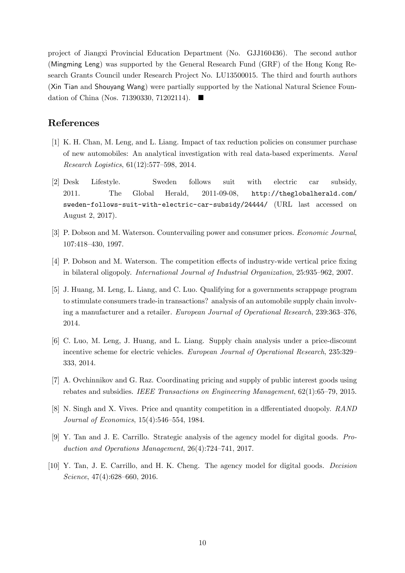project of Jiangxi Provincial Education Department (No. GJJ160436). The second author (Mingming Leng) was supported by the General Research Fund (GRF) of the Hong Kong Research Grants Council under Research Project No. LU13500015. The third and fourth authors (Xin Tian and Shouyang Wang) were partially supported by the National Natural Science Foundation of China (Nos. 71390330, 71202114).  $\blacksquare$ 

### References

- [1] K. H. Chan, M. Leng, and L. Liang. Impact of tax reduction policies on consumer purchase of new automobiles: An analytical investigation with real data-based experiments. Naval Research Logistics,  $61(12):577-598$ , 2014.
- [2] Desk Lifestyle. Sweden follows suit with electric car subsidy, 2011. The Global Herald, 2011-09-08, http://theglobalherald.com/ sweden-follows-suit-with-electric-car-subsidy/24444/ (URL last accessed on August 2, 2017).
- [3] P. Dobson and M. Waterson. Countervailing power and consumer prices. Economic Journal, 107:418-430, 1997.
- [4] P. Dobson and M. Waterson. The competition effects of industry-wide vertical price fixing in bilateral oligopoly. *International Journal of Industrial Organization*, 25:935-962, 2007.
- [5] J. Huang, M. Leng, L. Liang, and C. Luo. Qualifying for a governments scrappage program to stimulate consumers trade-in transactions? analysis of an automobile supply chain involving a manufacturer and a retailer. European Journal of Operational Research, 239:363–376, 2014.
- [6] C. Luo, M. Leng, J. Huang, and L. Liang. Supply chain analysis under a price-discount incentive scheme for electric vehicles. European Journal of Operational Research, 235:329– 333, 2014.
- [7] A. Ovchinnikov and G. Raz. Coordinating pricing and supply of public interest goods using rebates and subsidies. IEEE Transactions on Engineering Management,  $62(1)$ :65–79, 2015.
- [8] N. Singh and X. Vives. Price and quantity competition in a differentiated duopoly. RAND Journal of Economics,  $15(4):546-554$ , 1984.
- [9] Y. Tan and J. E. Carrillo. Strategic analysis of the agency model for digital goods. Production and Operations Management,  $26(4)$ :724–741, 2017.
- [10] Y. Tan, J. E. Carrillo, and H. K. Cheng. The agency model for digital goods. Decision  $Science, 47(4):628–660, 2016.$